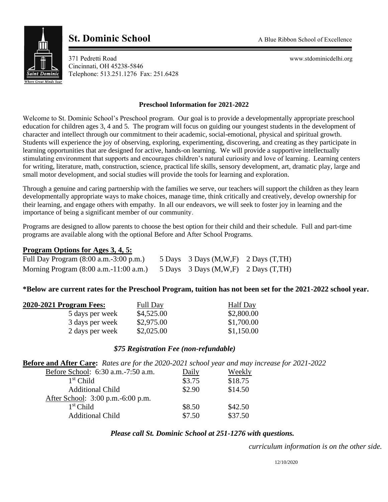

# **St. Dominic School**<br> **A Blue Ribbon School of Excellence**

371 Pedretti Road www.stdominicdelhi.org Cincinnati, OH 45238-5846 Telephone: 513.251.1276 Fax: 251.6428

## **Preschool Information for 2021-2022**

Welcome to St. Dominic School's Preschool program. Our goal is to provide a developmentally appropriate preschool education for children ages 3, 4 and 5. The program will focus on guiding our youngest students in the development of character and intellect through our commitment to their academic, social-emotional, physical and spiritual growth. Students will experience the joy of observing, exploring, experimenting, discovering, and creating as they participate in learning opportunities that are designed for active, hands-on learning. We will provide a supportive intellectually stimulating environment that supports and encourages children's natural curiosity and love of learning. Learning centers for writing, literature, math, construction, science, practical life skills, sensory development, art, dramatic play, large and small motor development, and social studies will provide the tools for learning and exploration.

Through a genuine and caring partnership with the families we serve, our teachers will support the children as they learn developmentally appropriate ways to make choices, manage time, think critically and creatively, develop ownership for their learning, and engage others with empathy. In all our endeavors, we will seek to foster joy in learning and the importance of being a significant member of our community.

Programs are designed to allow parents to choose the best option for their child and their schedule. Full and part-time programs are available along with the optional Before and After School Programs.

## **Program Options for Ages 3, 4, 5:**

| Full Day Program (8:00 a.m.-3:00 p.m.)                     | 5 Days 3 Days $(M,W,F)$ 2 Days $(T,TH)$ |  |
|------------------------------------------------------------|-----------------------------------------|--|
| Morning Program $(8:00 \text{ a.m.} - 11:00 \text{ a.m.})$ | 5 Days 3 Days $(M,W,F)$ 2 Days $(T,TH)$ |  |

#### **\*Below are current rates for the Preschool Program, tuition has not been set for the 2021-2022 school year.**

| 2020-2021 Program Fees: | <b>Full Day</b> | <b>Half</b> Day |
|-------------------------|-----------------|-----------------|
| 5 days per week         | \$4,525.00      | \$2,800.00      |
| 3 days per week         | \$2,975.00      | \$1,700.00      |
| 2 days per week         | \$2,025.00      | \$1,150.00      |

### *\$75 Registration Fee (non-refundable)*

**Before and After Care:** *Rates are for the 2020-2021 school year and may increase for 2021-2022* 

| Before School: 6:30 a.m. -7:50 a.m. | Daily  | Weekly  |
|-------------------------------------|--------|---------|
| $1st$ Child                         | \$3.75 | \$18.75 |
| <b>Additional Child</b>             | \$2.90 | \$14.50 |
| After School: 3:00 p.m. -6:00 p.m.  |        |         |
| $1st$ Child                         | \$8.50 | \$42.50 |
| <b>Additional Child</b>             | \$7.50 | \$37.50 |

#### *Please call St. Dominic School at 251-1276 with questions.*

*curriculum information is on the other side.*

12/10/2020